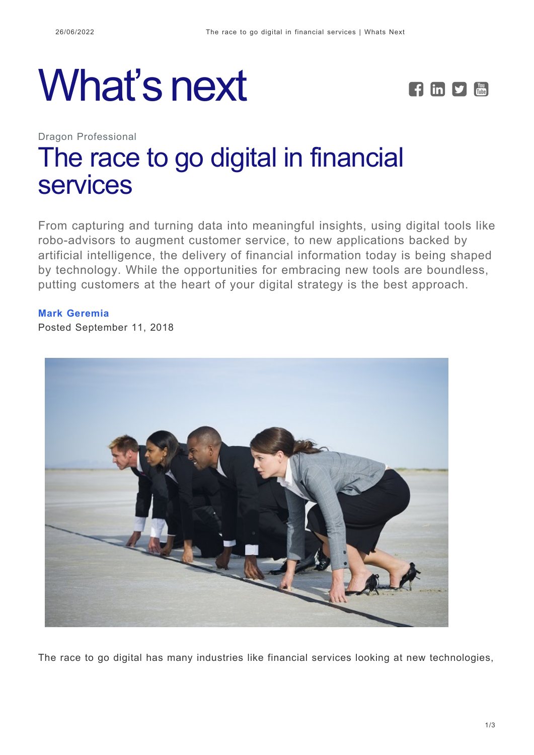# What's next **FEDE**



Dragon Professional

# [The race to go digital in financial](https://whatsnext.nuance.com/dragon-professional/financial-documentation-compliance-race-to-go-digital/) [services](https://whatsnext.nuance.com/dragon-professional/financial-documentation-compliance-race-to-go-digital/)

From capturing and turning data into meaningful insights, using digital tools like robo-advisors to augment customer service, to new applications backed by artificial intelligence, the delivery of financial information today is being shaped by technology. While the opportunities for embracing new tools are boundless, putting customers at the heart of your digital strategy is the best approach.

#### **[Mark Geremia](https://whatsnext.nuance.com/author/mark-geremia/)**

Posted September 11, 2018



The race to go digital has many industries like financial services looking at new technologies,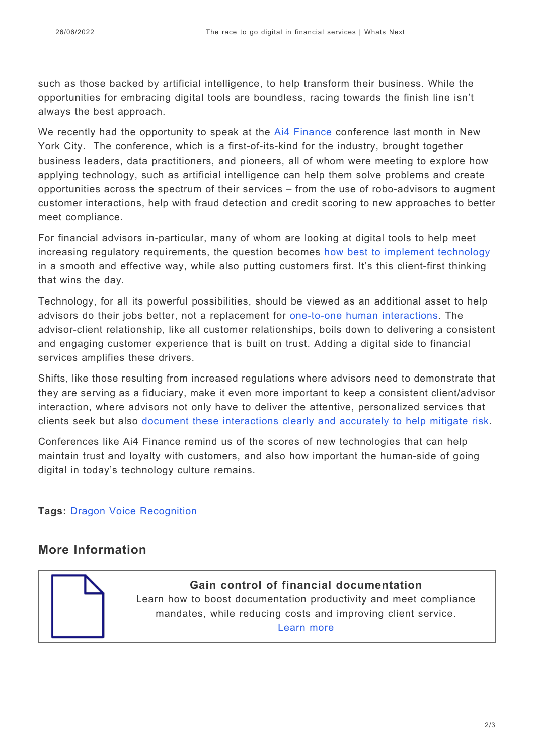such as those backed by artificial intelligence, to help transform their business. While the opportunities for embracing digital tools are boundless, racing towards the finish line isn't always the best approach.

We recently had the opportunity to speak at the [Ai4 Finance](https://ai4.io/finance/) conference last month in New York City. The conference, which is a first-of-its-kind for the industry, brought together business leaders, data practitioners, and pioneers, all of whom were meeting to explore how applying technology, such as artificial intelligence can help them solve problems and create opportunities across the spectrum of their services – from the use of robo-advisors to augment customer interactions, help with fraud detection and credit scoring to new approaches to better meet compliance.

For financial advisors in-particular, many of whom are looking at digital tools to help meet increasing regulatory requirements, the question becomes [how best to implement technology](https://whatsnext.nuance.com/office-productivity/improve-financial-compliance-with-accurate-documentation/) in a smooth and effective way, while also putting customers first. It's this client-first thinking that wins the day.

Technology, for all its powerful possibilities, should be viewed as an additional asset to help advisors do their jobs better, not a replacement for [one-to-one human interactions.](https://whatsnext.nuance.com/office-productivity/dragon-improves-financial-documentation-compliance/?utm_source=whatsnext&utm_medium=blog) The advisor-client relationship, like all customer relationships, boils down to delivering a consistent and engaging customer experience that is built on trust. Adding a digital side to financial services amplifies these drivers.

Shifts, like those resulting from increased regulations where advisors need to demonstrate that they are serving as a fiduciary, make it even more important to keep a consistent client/advisor interaction, where advisors not only have to deliver the attentive, personalized services that clients seek but also [document these interactions clearly and accurately to help mitigate risk.](https://whatsnext.nuance.com/office-productivity/dragon-financial-documentation-compliance-survey/)

Conferences like Ai4 Finance remind us of the scores of new technologies that can help maintain trust and loyalty with customers, and also how important the human-side of going digital in today's technology culture remains.

**Tags:** [Dragon Voice Recognition](https://whatsnext.nuance.com/tag/dragon-voice-recognition/)

## **More Information**